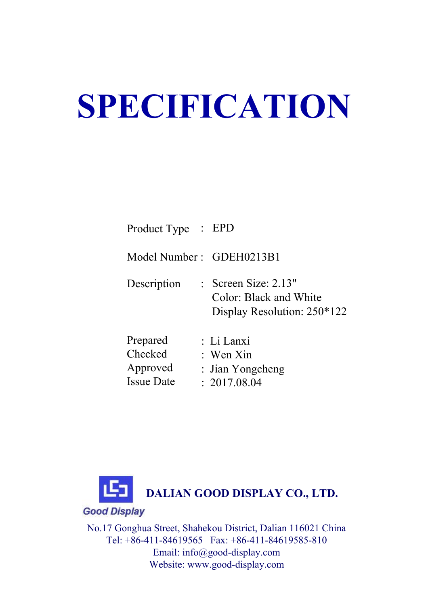# **SPECIFICATION**

| Product Type : EPD       |                                                                                   |
|--------------------------|-----------------------------------------------------------------------------------|
| Model Number: GDEH0213B1 |                                                                                   |
| Description              | : Screen Size: $2.13"$<br>Color: Black and White<br>Display Resolution: $250*122$ |
| Prepared                 | : Li Lanxi                                                                        |
| Checked                  | : Wen Xin                                                                         |
| Approved                 | : Jian Yongcheng                                                                  |



te : 2017.08.04

Issue Date

No.17 Gonghua Street, Shahekou District, Dalian 116021 China Tel: +86-411-84619565 Fax: +86-411-84619585-810 Email: info@good-display.com Website: www.good-display.com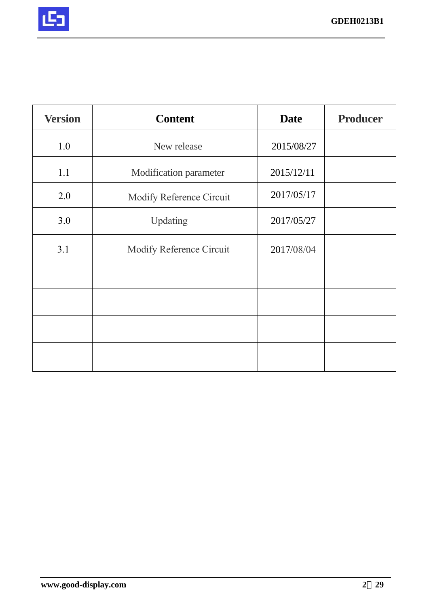

| <b>Version</b> | <b>Content</b>           | <b>Date</b> | <b>Producer</b> |
|----------------|--------------------------|-------------|-----------------|
| 1.0            | New release              | 2015/08/27  |                 |
| 1.1            | Modification parameter   | 2015/12/11  |                 |
| 2.0            | Modify Reference Circuit | 2017/05/17  |                 |
| 3.0            | Updating                 | 2017/05/27  |                 |
| 3.1            | Modify Reference Circuit | 2017/08/04  |                 |
|                |                          |             |                 |
|                |                          |             |                 |
|                |                          |             |                 |
|                |                          |             |                 |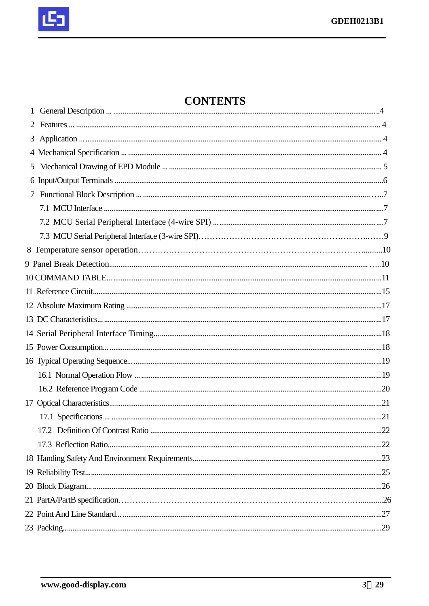

## **CONTENTS**

| 2 |  |
|---|--|
|   |  |
|   |  |
| 5 |  |
|   |  |
| 7 |  |
|   |  |
|   |  |
|   |  |
|   |  |
|   |  |
|   |  |
|   |  |
|   |  |
|   |  |
|   |  |
|   |  |
|   |  |
|   |  |
|   |  |
|   |  |
|   |  |
|   |  |
|   |  |
|   |  |
|   |  |
|   |  |
|   |  |
|   |  |
|   |  |
|   |  |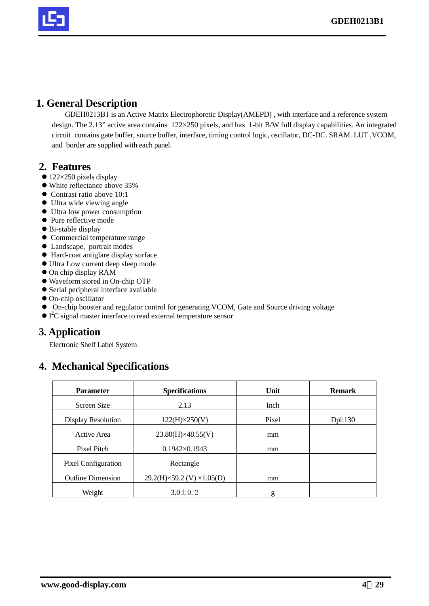

#### **1. General Description**

GDEH0213B1 is an Active Matrix Electrophoretic Display(AMEPD) , with interface and a reference system design. The 2.13" active area contains 122×250 pixels, and has 1-bit B/W full display capabilities. An integrated circuit contains gate buffer, source buffer, interface, timing control logic, oscillator, DC-DC. SRAM. LUT ,VCOM, and border are supplied with each panel.

#### **2. Features**

- $\bullet$  122×250 pixels display
- $\bullet$  White reflectance above 35%
- $\bullet$  Contrast ratio above 10:1
- $\bullet$  Ultra wide viewing angle
- $\bullet$  Ultra low power consumption
- Pure reflective mode
- $\bullet$  Bi-stable display
- Commercial temperature range
- Landscape, portrait modes
- $\bullet$  Hard-coat antiglare display surface
- $\bullet$  Ultra Low current deep sleep mode
- $\bullet$  On chip display RAM
- $\bullet$  Waveform stored in On-chip OTP
- $\bullet$  Serial peripheral interface available
- On-chip oscillator
- $\bullet$  On-chip booster and regulator control for generating VCOM, Gate and Source driving voltage
- $\bullet$  I<sup>2</sup>C signal master interface to read external temperature sensor

## **3. Application**

Electronic Shelf Label System

## **4. Mechanical Specifications**

| <b>Parameter</b>           | <b>Specifications</b>                   | Unit        | <b>Remark</b> |
|----------------------------|-----------------------------------------|-------------|---------------|
| Screen Size                | 2.13                                    | <b>Inch</b> |               |
| Display Resolution         | $122(H)\times 250(V)$                   | Pixel       | Dpi:130       |
| Active Area                | $23.80(H)\times 48.55(V)$               | mm          |               |
| Pixel Pitch                | $0.1942 \times 0.1943$                  | mm          |               |
| <b>Pixel Configuration</b> | Rectangle                               |             |               |
| <b>Outline Dimension</b>   | $29.2(H)\times59.2$ (V) $\times1.05(D)$ | mm          |               |
| Weight                     | $3.0 \pm 0.2$                           | g           |               |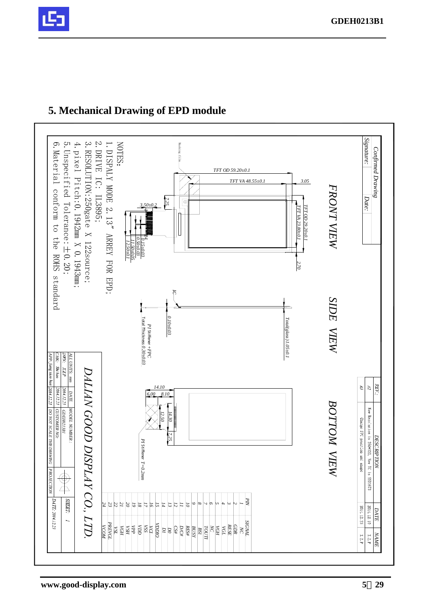

#### *Signature:* 3. RESOLUTION: 250gate X 122source; NOTES: 5. Unspecified Tolerance:  $\pm$  0. 20; 4. pixel Pitch: 0. 1942mm X 0. 1943mm; 1. DISPALY MODE 2. 13" ARREY FOR EPD; 6. Material conform to the ROHS standard 2.DRIVE IC: 6.Material 5.Unspecified 4.pixel Pitch:0.1942mm X 0.1943mm; 3.RESOLUTION:250gate X 122source; 1.DISPAL Masking film Confirmed Drawing *Confirmed Drawing TFT OD 59.20±0.1 TFT VA 48.55±0.1 3.05* Y MODE 2.13" ARREY FOR EPD; FRONT VIEW *FRONT VIEW* conform to the *Date:* IL3895; *7.25*  $\overline{\oplus}$ Tolerance:±0.20; *3.50±0.2* TFT OD 29.20±0.1 *TFT VA 23.80±0.1 TFT OD 29.20±0.1* FT VA 23.80±0.. *1 24 0.50±0.03 0.15±0.03 11.50±0.05 12.50±0.1*  $0000$ ROHS standard *2.70 IC* SIDE VIEW *BOTTOM VIEW SIDE VIEW* 0.10±03  $Total(glass) \; 1.05 \pm 0.1$ Total?Thickness *0.10±0.03 Total(glass) 1.05±0.1 PI* Stiffener *0.30±0.03 +FPC DATE ALL UNITS: mm ALL UNITS:* mm<br>*DWN: XLP AP: Jung xuo hua CHK:*  $Shi\,hco$ *DALIAN GOOD DISPLAY CO., LTD.* DALIAN GOOD DISPLAY CO., LTD  $\widetilde{G}$  $R1$ *14.10*  $\mathcal{L}$ 2014.12.23 2014.12.23 2014.12.23 DATE *6.00 8.10 DESCRIPTION :*BOTTOM VIEW MODEL NUMBER: New Resolution is 250\*122, New IC is SSD1673 DO NOT SCALE THIS DRAWING CUSTOMER NO:  *CUSTOMER NO: MODEL NUMBER :* **GDEH0213B1** *PROJECTION DO NOT SCALE THIS DRAWING GDEH0213B1 12.50 14.30* Charge FPC position and shape *7.25* **DESCRIPTION** *PI* Stiffener *T=0.2mm* PROJECTION  $\frac{\bigoplus}{\bigoplus}$ SHEET **DATE 2014.12.23** *PIN 14 23 22 20 19 15 13 24 21 18 17 16 12 11 10 9 8 7 6 5 4 3 2 1*  $201 \scriptstyle \pm .12.23$  $2014.12\ 10$  *DATE* **VSL<br>** *VGH***<br>** *VCI***<br>** *VICI***<br>** *VICI***<br>** *VDDIO***<br>** *VICI***<br>** *VDDIO SIGNAL NC PREVGL RESE GDR VCOM*  $\frac{NCH}{2}$ <br>  $\frac{NCH}{2}$ <br>  $\frac{NCH}{2}$ <br>  $\frac{NCH}{2}$ <br>  $\frac{NCH}{2}$ <br>  $\frac{NCH}{2}$ *VGL D1 D0 NAME*  $\mathfrak{t}$  .  $\mathbb{Z}$  .  $\chi$ .2. P

## **5. Mechanical Drawing of EPD module**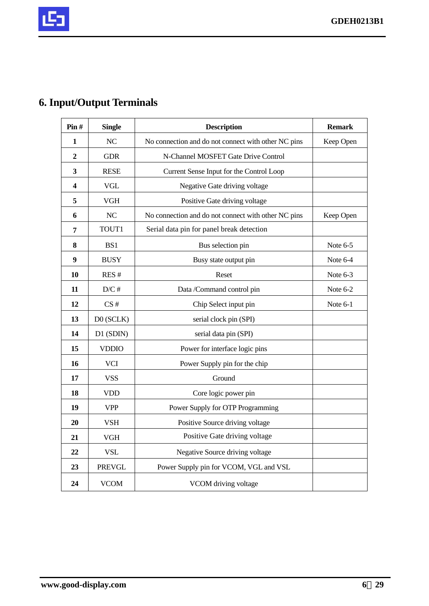

## **6. Input/Output Terminals**

| Pin#             | <b>Single</b>  | <b>Description</b>                                  | <b>Remark</b> |
|------------------|----------------|-----------------------------------------------------|---------------|
| 1                | N <sub>C</sub> | No connection and do not connect with other NC pins | Keep Open     |
| $\boldsymbol{2}$ | <b>GDR</b>     | N-Channel MOSFET Gate Drive Control                 |               |
| 3                | <b>RESE</b>    | Current Sense Input for the Control Loop            |               |
| 4                | <b>VGL</b>     | Negative Gate driving voltage                       |               |
| 5                | <b>VGH</b>     | Positive Gate driving voltage                       |               |
| 6                | NC             | No connection and do not connect with other NC pins | Keep Open     |
| $\overline{7}$   | TOUT1          | Serial data pin for panel break detection           |               |
| 8                | BS1            | Bus selection pin                                   | Note 6-5      |
| 9                | <b>BUSY</b>    | Busy state output pin                               | Note 6-4      |
| 10               | RES#           | Reset                                               | Note 6-3      |
| 11               | D/C#           | Data /Command control pin                           | Note 6-2      |
| 12               | CS#            | Chip Select input pin                               | Note 6-1      |
| 13               | D0 (SCLK)      | serial clock pin (SPI)                              |               |
| 14               | D1 (SDIN)      | serial data pin (SPI)                               |               |
| 15               | <b>VDDIO</b>   | Power for interface logic pins                      |               |
| 16               | <b>VCI</b>     | Power Supply pin for the chip                       |               |
| 17               | <b>VSS</b>     | Ground                                              |               |
| 18               | <b>VDD</b>     | Core logic power pin                                |               |
| 19               | <b>VPP</b>     | Power Supply for OTP Programming                    |               |
| 20               | <b>VSH</b>     | Positive Source driving voltage                     |               |
| 21               | <b>VGH</b>     | Positive Gate driving voltage                       |               |
| 22               | <b>VSL</b>     | Negative Source driving voltage                     |               |
| 23               | <b>PREVGL</b>  | Power Supply pin for VCOM, VGL and VSL              |               |
| 24               | <b>VCOM</b>    | VCOM driving voltage                                |               |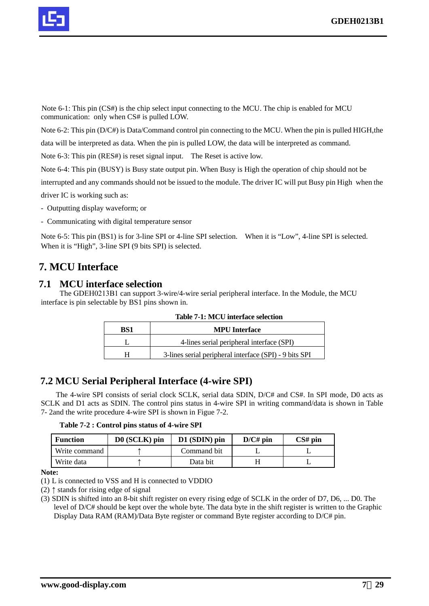

Note 6-1: This pin (CS#) is the chip select input connecting to the MCU. The chip is enabled for MCU communication: only when CS# is pulled LOW.

Note 6-2: This pin (D/C#) is Data/Command control pin connecting to the MCU. When the pin is pulled HIGH,the

data will be interpreted as data. When the pin is pulled LOW, the data will be interpreted as command.

Note 6-3: This pin (RES#) is reset signal input. The Reset is active low.

Note 6-4: This pin (BUSY) is Busy state output pin. When Busy is High the operation of chip should not be

interrupted and any commands should not be issued to the module. The driver IC will put Busy pin High when the

driver IC is working such as:

- Outputting display waveform; or

- Communicating with digital temperature sensor

Note 6-5: This pin (BS1) is for 3-line SPI or 4-line SPI selection. When it is "Low", 4-line SPI is selected. When it is "High", 3-line SPI (9 bits SPI) is selected.

## **7. MCU Interface**

#### **7.1 MCU interface selection**

The GDEH0213B1 can support 3-wire/4-wire serial peripheral interface. In the Module, the MCU interface is pin selectable by BS1 pins shown in.

| BS1 | <b>MPU</b> Interface                                   |  |  |  |  |  |
|-----|--------------------------------------------------------|--|--|--|--|--|
|     | 4-lines serial peripheral interface (SPI)              |  |  |  |  |  |
|     | 3-lines serial peripheral interface (SPI) - 9 bits SPI |  |  |  |  |  |

|  | Table 7-1: MCU interface selection |
|--|------------------------------------|
|--|------------------------------------|

#### **7.2 MCU Serial Peripheral Interface (4-wire SPI)**

The 4-wire SPI consists of serial clock SCLK, serial data SDIN, D/C# and CS#. In SPI mode, D0 acts as SCLK and D1 acts as SDIN. The control pins status in 4-wire SPI in writing command/data is shown in Table 7- 2and the write procedure 4-wire SPI is shown in Figue 7-2.

**Table 7-2 : Control pins status of 4-wire SPI** 

| <b>Function</b> | $D0$ (SCLK) pin | $D1$ (SDIN) pin | $D/C\#$ pin | $CS#$ pin |
|-----------------|-----------------|-----------------|-------------|-----------|
| Write command   |                 | Command bit     |             |           |
| Write data      |                 | Data bit        |             |           |

**Note:**

(1) L is connected to VSS and H is connected to VDDIO

(2)  $\uparrow$  stands for rising edge of signal

(3) SDIN is shifted into an 8-bit shift register on every rising edge of SCLK in the order of D7, D6, ... D0. The level of D/C# should be kept over the whole byte. The data byte in the shift register is written to the Graphic Display Data RAM (RAM)/Data Byte register or command Byte register according to D/C# pin.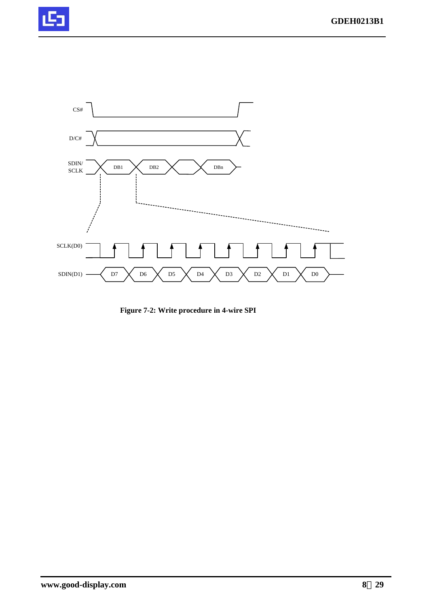



**Figure 7-2: Write procedure in 4-wire SPI**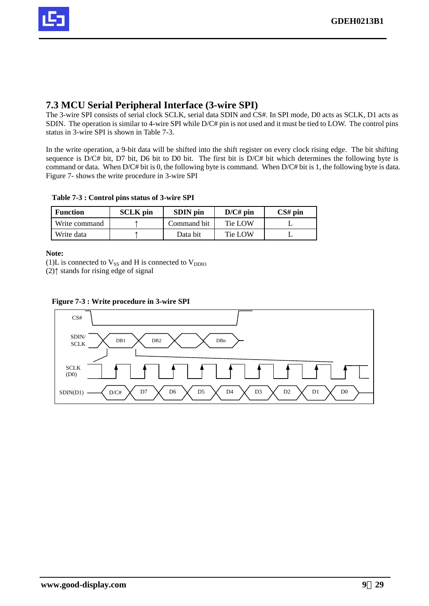

#### **7.3 MCU Serial Peripheral Interface (3-wire SPI)**

The 3-wire SPI consists of serial clock SCLK, serial data SDIN and CS#. In SPI mode, D0 acts as SCLK, D1 acts as SDIN. The operation is similar to 4-wire SPI while D/C# pin is not used and it must be tied to LOW. The control pins status in 3-wire SPI is shown in Table 7-3.

In the write operation, a 9-bit data will be shifted into the shift register on every clock rising edge. The bit shifting sequence is D/C# bit, D7 bit, D6 bit to D0 bit. The first bit is D/C# bit which determines the following byte is command or data. When D/C# bit is 0, the following byte is command. When D/C# bit is 1, the following byte is data. Figure 7- shows the write procedure in 3-wire SPI

#### **Table 7-3 : Control pins status of 3-wire SPI**

| <b>Function</b> | <b>SCLK</b> pin | <b>SDIN</b> pin | $D/C\#$ pin | $CS#$ pin |
|-----------------|-----------------|-----------------|-------------|-----------|
| Write command   |                 | Command bit     | Tie LOW     |           |
| Write data      |                 | Data bit        | Tie LOW     |           |

#### **Note:**

(1)L is connected to  $V_{SS}$  and H is connected to  $V_{DDIO}$ 

(2)↑ stands for rising edge of signal



#### **Figure 7-3 : Write procedure in 3-wire SPI**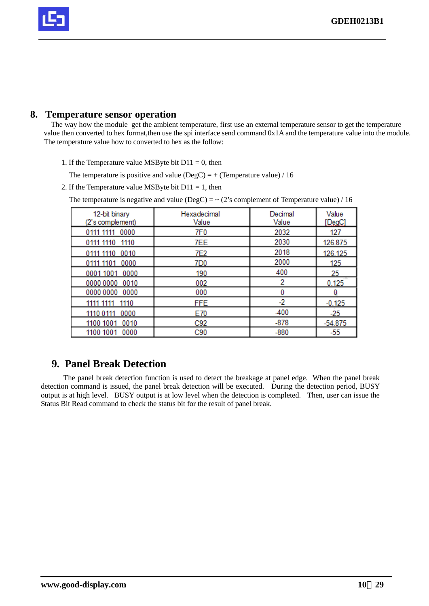

#### **8. Temperature sensor operation**

The way how the module get the ambient temperature, first use an external temperature sensor to get the temperature value then converted to hex format,then use the spi interface send command 0x1A and the temperature value into the module. The temperature value how to converted to hex as the follow:

- 1. If the Temperature value MSByte bit  $D11 = 0$ , then
	- The temperature is positive and value ( $DegC$ ) = + (Temperature value) / 16
- 2. If the Temperature value MSByte bit  $D11 = 1$ , then

|  | The temperature is negative and value (DegC) = $\sim$ (2's complement of Temperature value) / 16 |  |
|--|--------------------------------------------------------------------------------------------------|--|
|  |                                                                                                  |  |

| 12-bit binary<br>(2's complement) | Hexadecimal<br>Value | Decimal<br>Value | Value<br>[DegC] |
|-----------------------------------|----------------------|------------------|-----------------|
| 0111 1111 0000                    | 7F <sub>0</sub>      | 2032             | 127             |
| 0111 1110 1110                    | 7EE                  | 2030             | 126.875         |
| 0111 1110 0010                    | 7E2                  | 2018             | 126.125         |
| 0111 1101 0000                    | 7D <sub>0</sub>      | 2000             | 125             |
| 0001 1001 0000                    | 190                  | 400              | 25              |
| 0000 0000 0010                    | 002                  | 2                | 0.125           |
| 0000 0000 0000                    | 000                  |                  |                 |
| 1111 1111 1110                    | <b>FFE</b>           | $-2$             | $-0.125$        |
| 0000<br>1110 0111                 | E70                  | $-400$           | $-25$           |
| 1100 1001 0010                    | C92                  | $-878$           | $-54.875$       |
| 1100 1001<br>0000                 | C <sub>90</sub>      | $-880$           | $-55$           |

## **9. Panel Break Detection**

The panel break detection function is used to detect the breakage at panel edge. When the panel break detection command is issued, the panel break detection will be executed. During the detection period, BUSY output is at high level. BUSY output is at low level when the detection is completed. Then, user can issue the Status Bit Read command to check the status bit for the result of panel break.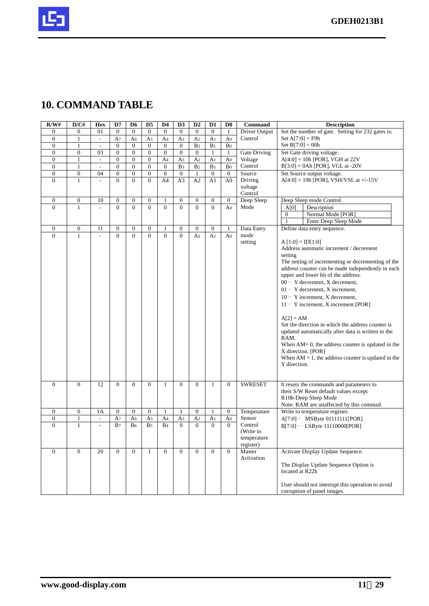

## **10. COMMAND TABLE**

| R/W#             | D/CH             | Hex            | D7               | D6               | D <sub>5</sub>   | D4               | D <sub>3</sub>   | D2               | D <sub>1</sub>   | D <sub>0</sub>   | Command             | <b>Description</b>                                                                       |
|------------------|------------------|----------------|------------------|------------------|------------------|------------------|------------------|------------------|------------------|------------------|---------------------|------------------------------------------------------------------------------------------|
| $\theta$         | $\overline{0}$   | 01             | $\overline{0}$   | $\theta$         | $\theta$         | $\theta$         | $\theta$         | $\theta$         | $\overline{0}$   | $\mathbf{1}$     | Driver Output       | Set the number of gate. Setting for 232 gates is:                                        |
| $\boldsymbol{0}$ | 1                | $\overline{a}$ | A <sub>7</sub>   | A6               | A5               | A <sub>4</sub>   | A3               | A <sub>2</sub>   | A <sub>1</sub>   | A <sub>0</sub>   | Control             | $Set A[7:0] = F9h$                                                                       |
| $\overline{0}$   | 1                | $\mathcal{L}$  | $\overline{0}$   | $\mathbf{0}$     | $\overline{0}$   | $\overline{0}$   | $\mathbf{0}$     | B <sub>2</sub>   | B <sub>1</sub>   | Bo               |                     | Set $B[7:0] = 00h$                                                                       |
| $\boldsymbol{0}$ | $\overline{0}$   | 03             | $\boldsymbol{0}$ | $\boldsymbol{0}$ | $\boldsymbol{0}$ | $\boldsymbol{0}$ | $\boldsymbol{0}$ | $\boldsymbol{0}$ | 1                | 1                | Gate Driving        | Set Gate driving voltage.                                                                |
| $\overline{0}$   | 1                | $\overline{a}$ | $\theta$         | $\overline{0}$   | $\overline{0}$   | A <sub>4</sub>   | A3               | A <sub>2</sub>   | A <sub>1</sub>   | A <sub>0</sub>   | Voltage             | $A[4:0] = 10h$ [POR], VGH at 22V                                                         |
| $\theta$         | $\mathbf{1}$     | $\overline{a}$ | $\overline{0}$   | $\theta$         | $\theta$         | $\theta$         | B <sub>3</sub>   | B <sub>2</sub>   | B <sub>1</sub>   | Bo               | Control             | $B[3:0] = 0$ Ah [POR], VGL at -20V                                                       |
| $\overline{0}$   | $\overline{0}$   | 04             | $\overline{0}$   | $\overline{0}$   | $\overline{0}$   | $\overline{0}$   | $\overline{0}$   | $\mathbf{1}$     | $\overline{0}$   | $\mathbf{0}$     | Source              | Set Source output voltage.                                                               |
| $\overline{0}$   | 1                | $\overline{a}$ | $\overline{0}$   | $\overline{0}$   | $\theta$         | A <sub>4</sub>   | A <sub>3</sub>   | A2               | A1               | A <sub>0</sub>   | Driving             | $A[4:0] = 19h$ [POR], VSH/VSL at +/-15V                                                  |
|                  |                  |                |                  |                  |                  |                  |                  |                  |                  |                  | voltage             |                                                                                          |
|                  |                  |                |                  |                  |                  |                  |                  |                  |                  |                  | Control             |                                                                                          |
| $\mathbf{0}$     | $\boldsymbol{0}$ | 10             | $\boldsymbol{0}$ | $\boldsymbol{0}$ | $\overline{0}$   | 1                | $\overline{0}$   | $\boldsymbol{0}$ | $\boldsymbol{0}$ | $\boldsymbol{0}$ | Deep Sleep          | Deep Sleep mode Control                                                                  |
| $\theta$         | 1                | $\overline{a}$ | $\overline{0}$   | $\Omega$         | $\theta$         | $\Omega$         | $\theta$         | $\Omega$         | $\theta$         | A <sub>0</sub>   | Mode                | A[0]<br>Description                                                                      |
|                  |                  |                |                  |                  |                  |                  |                  |                  |                  |                  |                     | Normal Mode [POR]<br>$\mathbf{0}$                                                        |
|                  |                  |                |                  |                  |                  |                  |                  |                  |                  |                  |                     | Enter Deep Sleep Mode                                                                    |
| $\boldsymbol{0}$ | $\overline{0}$   | 11             | $\overline{0}$   | $\overline{0}$   | $\overline{0}$   | $\mathbf{1}$     | $\boldsymbol{0}$ | $\overline{0}$   | $\overline{0}$   | $\mathbf{1}$     | Data Entry          | Define data entry sequence.                                                              |
| $\overline{0}$   | $\mathbf{1}$     | $\overline{a}$ | $\overline{0}$   | $\Omega$         | $\overline{0}$   | $\Omega$         | $\overline{0}$   | A <sub>2</sub>   | A <sub>1</sub>   | A <sub>0</sub>   | mode                |                                                                                          |
|                  |                  |                |                  |                  |                  |                  |                  |                  |                  |                  | setting             | $A [1:0] = ID[1:0]$                                                                      |
|                  |                  |                |                  |                  |                  |                  |                  |                  |                  |                  |                     | Address automatic increment / decrement                                                  |
|                  |                  |                |                  |                  |                  |                  |                  |                  |                  |                  |                     | setting                                                                                  |
|                  |                  |                |                  |                  |                  |                  |                  |                  |                  |                  |                     | The setting of incrementing or decrementing of the                                       |
|                  |                  |                |                  |                  |                  |                  |                  |                  |                  |                  |                     | address counter can be made independently in each<br>upper and lower bit of the address. |
|                  |                  |                |                  |                  |                  |                  |                  |                  |                  |                  |                     |                                                                                          |
|                  |                  |                |                  |                  |                  |                  |                  |                  |                  |                  |                     | $00 - Y$ decrement, X decrement,                                                         |
|                  |                  |                |                  |                  |                  |                  |                  |                  |                  |                  |                     | $01 - Y$ decrement, X increment,                                                         |
|                  |                  |                |                  |                  |                  |                  |                  |                  |                  |                  |                     | $10 - Y$ increment, X decrement,                                                         |
|                  |                  |                |                  |                  |                  |                  |                  |                  |                  |                  |                     | $11 - Y$ increment, X increment [POR]                                                    |
|                  |                  |                |                  |                  |                  |                  |                  |                  |                  |                  |                     |                                                                                          |
|                  |                  |                |                  |                  |                  |                  |                  |                  |                  |                  |                     | $A[2] = AM$                                                                              |
|                  |                  |                |                  |                  |                  |                  |                  |                  |                  |                  |                     | Set the direction in which the address counter is                                        |
|                  |                  |                |                  |                  |                  |                  |                  |                  |                  |                  |                     | updated automatically after data is written to the<br>RAM.                               |
|                  |                  |                |                  |                  |                  |                  |                  |                  |                  |                  |                     | When $AM = 0$ , the address counter is updated in the                                    |
|                  |                  |                |                  |                  |                  |                  |                  |                  |                  |                  |                     | X direction. [POR]                                                                       |
|                  |                  |                |                  |                  |                  |                  |                  |                  |                  |                  |                     | When $AM = 1$ , the address counter is updated in the                                    |
|                  |                  |                |                  |                  |                  |                  |                  |                  |                  |                  |                     | Y direction.                                                                             |
|                  |                  |                |                  |                  |                  |                  |                  |                  |                  |                  |                     |                                                                                          |
|                  |                  |                |                  |                  |                  |                  |                  |                  |                  |                  |                     |                                                                                          |
| $\mathbf{0}$     | $\overline{0}$   | 12             | $\overline{0}$   | $\mathbf{0}$     | $\overline{0}$   | $\mathbf{1}$     | $\overline{0}$   | $\theta$         | 1                | $\mathbf{0}$     | <b>SWRESET</b>      | It resets the commands and parameters to                                                 |
|                  |                  |                |                  |                  |                  |                  |                  |                  |                  |                  |                     | their S/W Reset default values except                                                    |
|                  |                  |                |                  |                  |                  |                  |                  |                  |                  |                  |                     | R10h-Deep Sleep Mode                                                                     |
|                  |                  |                |                  |                  |                  |                  |                  |                  |                  |                  |                     | Note: RAM are unaffected by this commad.                                                 |
| $\boldsymbol{0}$ | $\boldsymbol{0}$ | 1A             | $\boldsymbol{0}$ | $\mathbf{0}$     | $\boldsymbol{0}$ | 1                | 1                | $\overline{0}$   | 1                | $\boldsymbol{0}$ | Temperature         | Write to temperature register.                                                           |
| $\boldsymbol{0}$ | $\mathbf{1}$     | $\overline{a}$ | A7               | A <sub>6</sub>   | A5               | A <sub>4</sub>   | A <sub>3</sub>   | A <sub>2</sub>   | A <sub>1</sub>   | A <sub>0</sub>   | Sensor              | A[7:0] - MSByte 01111111[POR]                                                            |
| $\Omega$         | $\mathbf{1}$     |                | B <sub>7</sub>   | B <sub>6</sub>   | B <sub>5</sub>   | B <sub>4</sub>   | $\Omega$         | $\Omega$         | $\Omega$         | $\Omega$         | Control             | $B[7:0]$ – LSByte 11110000[POR]                                                          |
|                  |                  |                |                  |                  |                  |                  |                  |                  |                  |                  | (Write to           |                                                                                          |
|                  |                  |                |                  |                  |                  |                  |                  |                  |                  |                  | temperature         |                                                                                          |
| $\overline{0}$   | $\theta$         | 20             | $\theta$         | $\theta$         | 1                | $\Omega$         | $\theta$         | $\Omega$         | $\theta$         | $\Omega$         | register)<br>Master | Activate Display Update Sequence.                                                        |
|                  |                  |                |                  |                  |                  |                  |                  |                  |                  |                  | Activation          |                                                                                          |
|                  |                  |                |                  |                  |                  |                  |                  |                  |                  |                  |                     | The Display Update Sequence Option is                                                    |
|                  |                  |                |                  |                  |                  |                  |                  |                  |                  |                  |                     | located at R22h                                                                          |
|                  |                  |                |                  |                  |                  |                  |                  |                  |                  |                  |                     |                                                                                          |
|                  |                  |                |                  |                  |                  |                  |                  |                  |                  |                  |                     | User should not interrupt this operation to avoid                                        |
|                  |                  |                |                  |                  |                  |                  |                  |                  |                  |                  |                     | corruption of panel images.                                                              |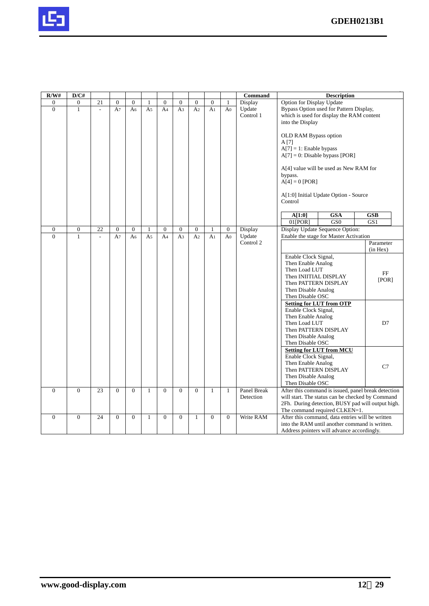

| R/W#           | D/CH             |                          |                |                |                |                |                |                |                |                  | <b>Command</b> |                                  | <b>Description</b>                                  |               |  |
|----------------|------------------|--------------------------|----------------|----------------|----------------|----------------|----------------|----------------|----------------|------------------|----------------|----------------------------------|-----------------------------------------------------|---------------|--|
| $\mathbf{0}$   | $\boldsymbol{0}$ | 21                       | $\overline{0}$ | $\overline{0}$ | $\mathbf{1}$   | $\overline{0}$ | $\overline{0}$ | $\overline{0}$ | $\Omega$       | $\mathbf{1}$     | Display        | <b>Option for Display Update</b> |                                                     |               |  |
| $\overline{0}$ | $\mathbf{1}$     | $\overline{\phantom{a}}$ | A <sub>7</sub> | A6             | A <sub>5</sub> | A <sub>4</sub> | A <sub>3</sub> | A <sub>2</sub> | A <sub>1</sub> | A <sub>0</sub>   | Update         |                                  | Bypass Option used for Pattern Display,             |               |  |
|                |                  |                          |                |                |                |                |                |                |                |                  | Control 1      |                                  | which is used for display the RAM content           |               |  |
|                |                  |                          |                |                |                |                |                |                |                |                  |                | into the Display                 |                                                     |               |  |
|                |                  |                          |                |                |                |                |                |                |                |                  |                |                                  |                                                     |               |  |
|                |                  |                          |                |                |                |                |                |                |                |                  |                | OLD RAM Bypass option            |                                                     |               |  |
|                |                  |                          |                |                |                |                |                |                |                |                  |                | A [7]                            |                                                     |               |  |
|                |                  |                          |                |                |                |                |                |                |                |                  |                | $A[7] = 1$ : Enable bypass       |                                                     |               |  |
|                |                  |                          |                |                |                |                |                |                |                |                  |                |                                  | $A[7] = 0$ : Disable bypass [POR]                   |               |  |
|                |                  |                          |                |                |                |                |                |                |                |                  |                |                                  |                                                     |               |  |
|                |                  |                          |                |                |                |                |                |                |                |                  |                |                                  | A[4] value will be used as New RAM for              |               |  |
|                |                  |                          |                |                |                |                |                |                |                |                  |                | bypass.                          |                                                     |               |  |
|                |                  |                          |                |                |                |                |                |                |                |                  |                | $A[4] = 0$ [POR]                 |                                                     |               |  |
|                |                  |                          |                |                |                |                |                |                |                |                  |                |                                  | A[1:0] Initial Update Option - Source               |               |  |
|                |                  |                          |                |                |                |                |                |                |                |                  |                | Control                          |                                                     |               |  |
|                |                  |                          |                |                |                |                |                |                |                |                  |                |                                  |                                                     |               |  |
|                |                  |                          |                |                |                |                |                |                |                |                  |                | A[1:0]                           | <b>GSA</b>                                          | <b>GSB</b>    |  |
|                |                  |                          |                |                |                |                |                |                |                |                  |                | $01$ [POR]                       | GS <sub>0</sub>                                     | GS1           |  |
| $\mathbf{0}$   | $\boldsymbol{0}$ | 22                       | $\overline{0}$ | $\mathbf{0}$   | 1              | $\mathbf{0}$   | $\mathbf{0}$   | $\mathbf{0}$   | 1              | $\boldsymbol{0}$ | Display        |                                  | Display Update Sequence Option:                     |               |  |
| $\Omega$       | $\mathbf{1}$     |                          | A <sub>7</sub> | A6             | A <sub>5</sub> | A <sub>4</sub> | A <sub>3</sub> | A <sub>2</sub> | A <sub>1</sub> | A <sub>0</sub>   | Update         |                                  | Enable the stage for Master Activation              |               |  |
|                |                  |                          |                |                |                |                |                |                |                |                  | Control 2      |                                  |                                                     | Parameter     |  |
|                |                  |                          |                |                |                |                |                |                |                |                  |                |                                  |                                                     | $(in$ Hex $)$ |  |
|                |                  |                          |                |                |                |                |                |                |                |                  |                | Enable Clock Signal,             |                                                     |               |  |
|                |                  |                          |                |                |                |                |                |                |                |                  |                | Then Enable Analog               |                                                     |               |  |
|                |                  |                          |                |                |                |                |                |                |                |                  |                | Then Load LUT                    |                                                     |               |  |
|                |                  |                          |                |                |                |                |                |                |                |                  |                | Then INIITIAL DISPLAY            |                                                     | FF            |  |
|                |                  |                          |                |                |                |                |                |                |                |                  |                | Then PATTERN DISPLAY             |                                                     | [POR]         |  |
|                |                  |                          |                |                |                |                |                |                |                |                  |                | Then Disable Analog              |                                                     |               |  |
|                |                  |                          |                |                |                |                |                |                |                |                  |                | Then Disable OSC                 |                                                     |               |  |
|                |                  |                          |                |                |                |                |                |                |                |                  |                |                                  | <b>Setting for LUT from OTP</b>                     |               |  |
|                |                  |                          |                |                |                |                |                |                |                |                  |                | Enable Clock Signal,             |                                                     |               |  |
|                |                  |                          |                |                |                |                |                |                |                |                  |                | Then Enable Analog               |                                                     |               |  |
|                |                  |                          |                |                |                |                |                |                |                |                  |                | Then Load LUT                    |                                                     | D7            |  |
|                |                  |                          |                |                |                |                |                |                |                |                  |                | Then PATTERN DISPLAY             |                                                     |               |  |
|                |                  |                          |                |                |                |                |                |                |                |                  |                | Then Disable Analog              |                                                     |               |  |
|                |                  |                          |                |                |                |                |                |                |                |                  |                | Then Disable OSC                 |                                                     |               |  |
|                |                  |                          |                |                |                |                |                |                |                |                  |                |                                  | <b>Setting for LUT from MCU</b>                     |               |  |
|                |                  |                          |                |                |                |                |                |                |                |                  |                | Enable Clock Signal,             |                                                     |               |  |
|                |                  |                          |                |                |                |                |                |                |                |                  |                | Then Enable Analog               |                                                     | C7            |  |
|                |                  |                          |                |                |                |                |                |                |                |                  |                | Then PATTERN DISPLAY             |                                                     |               |  |
|                |                  |                          |                |                |                |                |                |                |                |                  |                | Then Disable Analog              |                                                     |               |  |
| $\mathbf{0}$   | $\mathbf{0}$     | 23                       | $\Omega$       | $\overline{0}$ | $\mathbf{1}$   | $\overline{0}$ | $\Omega$       | $\overline{0}$ | $\mathbf{1}$   | $\mathbf{1}$     | Panel Break    | Then Disable OSC                 | After this command is issued, panel break detection |               |  |
|                |                  |                          |                |                |                |                |                |                |                |                  | Detection      |                                  | will start. The status can be checked by Command    |               |  |
|                |                  |                          |                |                |                |                |                |                |                |                  |                |                                  | 2Fh. During detection, BUSY pad will output high.   |               |  |
|                |                  |                          |                |                |                |                |                |                |                |                  |                |                                  | The command required CLKEN=1.                       |               |  |
| $\Omega$       | $\mathbf{0}$     | 24                       | $\Omega$       | $\mathbf{0}$   | $\mathbf{1}$   | $\Omega$       | $\overline{0}$ | $\mathbf{1}$   | $\Omega$       | $\Omega$         | Write RAM      |                                  | After this command, data entries will be written    |               |  |
|                |                  |                          |                |                |                |                |                |                |                |                  |                |                                  | into the RAM until another command is written.      |               |  |
|                |                  |                          |                |                |                |                |                |                |                |                  |                |                                  | Address pointers will advance accordingly.          |               |  |
|                |                  |                          |                |                |                |                |                |                |                |                  |                |                                  |                                                     |               |  |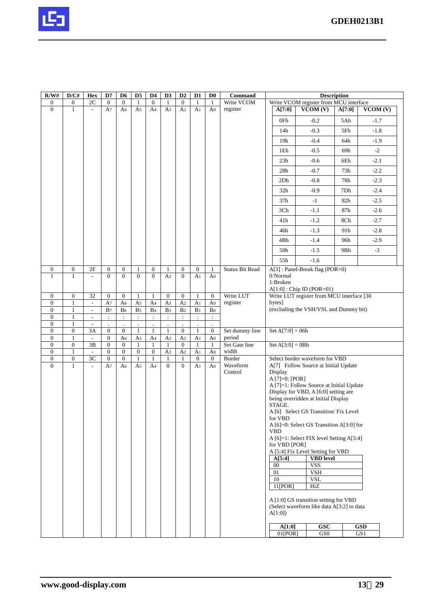

| R/W#                           | D/CH                             | Hex                                                  | D7                                     | D <sub>6</sub>                 | D5                             | D4                                 | D <sub>3</sub>                 | D2                             | D1                                     | D <sub>0</sub>                 | Command                 |                     | <b>Description</b>                                                                 |        |           |  |
|--------------------------------|----------------------------------|------------------------------------------------------|----------------------------------------|--------------------------------|--------------------------------|------------------------------------|--------------------------------|--------------------------------|----------------------------------------|--------------------------------|-------------------------|---------------------|------------------------------------------------------------------------------------|--------|-----------|--|
| $\mathbf{0}$<br>$\overline{0}$ | $\mathbf{0}$<br>$\mathbf{1}$     | $2\mathrm{C}$                                        | $\mathbf{0}$                           | $\overline{0}$                 | $\mathbf{1}$                   | $\overline{0}$                     | $\mathbf{1}$                   | $\overline{0}$                 | 1                                      | 1                              | Write VCOM              |                     | Write VCOM register from MCU interface                                             |        |           |  |
|                                |                                  |                                                      | A7                                     | A6                             | A5                             | A4                                 | A3                             | A <sub>2</sub>                 | A <sub>1</sub>                         | A <sub>0</sub>                 | register                | A[7:0]              | VCOM(V)                                                                            | A[7:0] | VCOM(V)   |  |
|                                |                                  |                                                      |                                        |                                |                                |                                    |                                |                                |                                        |                                |                         | 0Fh                 | $-0.2$                                                                             | 5Ah    | $-1.7$    |  |
|                                |                                  |                                                      |                                        |                                |                                |                                    |                                |                                |                                        |                                |                         | 14h                 | $-0.3$                                                                             | 5Fh    | $-1.8$    |  |
|                                |                                  |                                                      |                                        |                                |                                |                                    |                                |                                |                                        |                                |                         | 19 <sub>h</sub>     | $-0.4$                                                                             | 64h    | $-1.9$    |  |
|                                |                                  |                                                      |                                        |                                |                                |                                    |                                |                                |                                        |                                |                         | 1Eh                 | $-0.5$                                                                             | 69h    | $-2$      |  |
|                                |                                  |                                                      |                                        |                                |                                |                                    |                                |                                |                                        |                                |                         | 23h                 | $-0.6$                                                                             | 6Eh    | $-2.1$    |  |
|                                |                                  |                                                      |                                        |                                |                                |                                    |                                |                                |                                        |                                |                         | 28h                 | $-0.7$                                                                             | 73h    | $-2.2$    |  |
|                                |                                  |                                                      |                                        |                                |                                |                                    |                                |                                |                                        |                                |                         | 2Dh                 | $-0.8$                                                                             | 78h    | $-2.3$    |  |
|                                |                                  |                                                      |                                        |                                |                                |                                    |                                |                                |                                        |                                |                         | 32 <sub>h</sub>     | $-0.9$                                                                             | 7Dh    | $-2.4$    |  |
|                                |                                  |                                                      |                                        |                                |                                |                                    |                                |                                |                                        |                                |                         | 37h                 | $-1$                                                                               | 82h    | $-2.5$    |  |
|                                |                                  |                                                      |                                        |                                |                                |                                    |                                |                                |                                        |                                |                         | 3Ch                 | $-1.1$                                                                             | 87h    | $-2.6$    |  |
|                                |                                  |                                                      |                                        |                                |                                |                                    |                                |                                |                                        |                                |                         | 41h                 | $-1.2$                                                                             | 8Ch    | $-2.7$    |  |
|                                |                                  |                                                      |                                        |                                |                                |                                    |                                |                                |                                        |                                |                         | 46h                 | $-1.3$                                                                             | 91h    | $-2.8$    |  |
|                                |                                  |                                                      |                                        |                                |                                |                                    |                                |                                |                                        |                                |                         | 4Bh                 | $-1.4$                                                                             | 96h    | $-2.9$    |  |
|                                |                                  |                                                      |                                        |                                |                                |                                    |                                |                                |                                        |                                |                         | 50h                 | $-1.5$                                                                             | 9Bh    | $-3$      |  |
|                                |                                  |                                                      |                                        |                                |                                |                                    |                                |                                |                                        |                                |                         | 55h                 | $-1.6$                                                                             |        |           |  |
| $\mathbf{0}$<br>$\mathbf{1}$   | $\boldsymbol{0}$<br>$\mathbf{1}$ | 2F<br>$\overline{a}$                                 | $\boldsymbol{0}$<br>$\Omega$           | $\boldsymbol{0}$<br>$\Omega$   | $\mathbf{1}$<br>$\overline{0}$ | $\boldsymbol{0}$<br>$\overline{0}$ | $\mathbf{1}$<br>A <sub>3</sub> | $\mathbf{0}$<br>$\mathbf{0}$   | $\mathbf{0}$<br>A <sub>1</sub>         | $\mathbf{1}$<br>A <sub>0</sub> | <b>Status Bit Read</b>  | 0:Normal            | A[3]: Panel-Break flag (POR=0)                                                     |        |           |  |
|                                |                                  |                                                      |                                        |                                |                                |                                    |                                |                                |                                        |                                |                         | 1:Broken            |                                                                                    |        |           |  |
| $\mathbf{0}$                   | $\boldsymbol{0}$                 | 32                                                   | $\mathbf{0}$                           | $\mathbf{0}$                   | $\mathbf{1}$                   | $\mathbf{1}$                       | $\mathbf{0}$                   | $\mathbf{0}$                   | $\mathbf{1}$                           | $\mathbf{0}$                   | Write LUT               |                     | $A[1:0]$ : Chip ID (POR=01)<br>Write LUT register from MCU interface [30           |        |           |  |
| $\mathbf{0}$                   | $\mathbf{1}$                     | $\mathcal{L}^{\mathcal{L}}$                          | A <sub>7</sub>                         | A <sub>6</sub>                 | A <sub>5</sub>                 | A <sub>4</sub>                     | A <sub>3</sub>                 | A <sub>2</sub>                 | A <sub>1</sub>                         | A <sub>0</sub>                 | register                | bytes]              |                                                                                    |        |           |  |
| $\overline{0}$                 | -1                               | $\overline{\phantom{a}}$                             | B <sub>7</sub>                         | B <sub>6</sub>                 | B <sub>5</sub>                 | B <sub>4</sub>                     | B <sub>3</sub>                 | B <sub>2</sub>                 | B <sub>1</sub>                         | Bo                             |                         |                     | (excluding the VSH/VSL and Dummy bit)                                              |        |           |  |
| $\overline{0}$<br>$\mathbf{0}$ | $\mathbf{1}$<br>$\mathbf{1}$     | $\overline{\phantom{a}}$<br>$\overline{\phantom{a}}$ | $\ddot{\cdot}$<br>$\ddot{\phantom{a}}$ | $\ddot{\cdot}$<br>$\Box$       | $\ddot{\cdot}$                 | $\div$<br>$\blacksquare$           | $\div$                         | $\ddot{\cdot}$<br>$\Box$       | $\ddot{\cdot}$<br>$\ddot{\phantom{a}}$ | $\div$                         |                         |                     |                                                                                    |        |           |  |
| $\mathbf{0}$                   | $\boldsymbol{0}$                 | 3A                                                   | $\boldsymbol{0}$                       | $\overline{0}$                 | $\bullet$<br>1                 | $\mathbf{1}$                       | $\Box$<br>$\mathbf{1}$         | $\overline{0}$                 | $\mathbf{1}$                           | $\mathbf{0}$                   | Set dummy line          | Set $A[7:0] = 06h$  |                                                                                    |        |           |  |
| $\mathbf{0}$<br>$\mathbf{0}$   | $\mathbf{1}$<br>$\boldsymbol{0}$ | $\mathcal{L}$<br>3B                                  | $\boldsymbol{0}$<br>$\boldsymbol{0}$   | A <sub>6</sub><br>$\mathbf{0}$ | A <sub>5</sub><br>$\mathbf{1}$ | A <sub>4</sub><br>$\mathbf{1}$     | A <sub>3</sub><br>1            | A <sub>2</sub><br>$\mathbf{0}$ | A <sub>1</sub><br>1                    | A <sub>0</sub><br>$\mathbf{1}$ | period<br>Set Gate line | Set $A[3:0] = 0Bh$  |                                                                                    |        |           |  |
| $\mathbf{0}$                   | $\mathbf{1}$                     |                                                      | $\overline{0}$                         | $\overline{0}$                 | $\boldsymbol{0}$               | $\mathbf{0}$                       | A <sub>3</sub>                 | A <sub>2</sub>                 | A <sub>1</sub>                         | A <sub>0</sub>                 | width                   |                     |                                                                                    |        |           |  |
| $\mathbf{0}$                   | $\boldsymbol{0}$                 | 3C                                                   | $\boldsymbol{0}$                       | $\overline{0}$                 | $\mathbf{1}$                   | $\mathbf{1}$                       | $\mathbf{1}$                   | $\mathbf{1}$                   | $\mathbf{0}$                           | $\mathbf{0}$                   | Border                  |                     | Select border waveform for VBD                                                     |        |           |  |
| $\mathbf{0}$                   | $\mathbf{1}$                     | $\mathcal{L}_{\mathcal{A}}$                          | A7                                     | A6                             | A <sub>5</sub>                 | A4                                 | $\overline{0}$                 | $\Omega$                       | A <sub>1</sub>                         | A <sub>0</sub>                 | Waveform<br>Control     | Display             | A[7] Follow Source at Initial Update                                               |        |           |  |
|                                |                                  |                                                      |                                        |                                |                                |                                    |                                |                                |                                        |                                |                         | A $[7]=0$ : $[POR]$ |                                                                                    |        |           |  |
|                                |                                  |                                                      |                                        |                                |                                |                                    |                                |                                |                                        |                                |                         |                     | A [7]=1: Follow Source at Initial Update<br>Display for VBD, A [6:0] setting are   |        |           |  |
|                                |                                  |                                                      |                                        |                                |                                |                                    |                                |                                |                                        |                                |                         |                     | being overridden at Initial Display                                                |        |           |  |
|                                |                                  |                                                      |                                        |                                |                                |                                    |                                |                                |                                        |                                |                         | STAGE.              | A [6] Select GS Transition/ Fix Level                                              |        |           |  |
|                                |                                  |                                                      |                                        |                                |                                |                                    |                                |                                |                                        |                                |                         | for VBD             |                                                                                    |        |           |  |
|                                |                                  |                                                      |                                        |                                |                                |                                    |                                |                                |                                        |                                |                         | <b>VBD</b>          | A [6]=0: Select GS Transition A[3:0] for                                           |        |           |  |
|                                |                                  |                                                      |                                        |                                |                                |                                    |                                |                                |                                        |                                |                         |                     | A [6]=1: Select FIX level Setting A[5:4]                                           |        |           |  |
|                                |                                  |                                                      |                                        |                                |                                |                                    |                                |                                |                                        |                                |                         | for VBD [POR]       | A [5:4] Fix Level Setting for VBD                                                  |        |           |  |
|                                |                                  |                                                      |                                        |                                |                                |                                    |                                |                                |                                        |                                |                         | A[5:4]              | <b>VBD</b> level                                                                   |        |           |  |
|                                |                                  |                                                      |                                        |                                |                                |                                    |                                |                                |                                        |                                |                         | $00\,$              | <b>VSS</b>                                                                         |        |           |  |
|                                |                                  |                                                      |                                        |                                |                                |                                    |                                |                                |                                        |                                |                         | 01                  | <b>VSH</b>                                                                         |        |           |  |
|                                |                                  |                                                      |                                        |                                |                                |                                    |                                |                                |                                        |                                |                         | 10<br>11[POR]       | <b>VSL</b><br>HiZ                                                                  |        |           |  |
|                                |                                  |                                                      |                                        |                                |                                |                                    |                                |                                |                                        |                                |                         |                     |                                                                                    |        |           |  |
|                                |                                  |                                                      |                                        |                                |                                |                                    |                                |                                |                                        |                                |                         |                     | A [1:0] GS transition setting for VBD<br>(Select waveform like data A[3:2] to data |        |           |  |
|                                |                                  |                                                      |                                        |                                |                                |                                    |                                |                                |                                        |                                |                         | A[1:0]              |                                                                                    |        |           |  |
|                                |                                  |                                                      |                                        |                                |                                |                                    |                                |                                |                                        |                                |                         | A[1:0]              | <b>GSC</b>                                                                         |        | $\bf GSD$ |  |
|                                |                                  |                                                      |                                        |                                |                                |                                    |                                |                                |                                        |                                |                         | $01$ [POR]          | ${\rm GS0}$                                                                        |        | GS1       |  |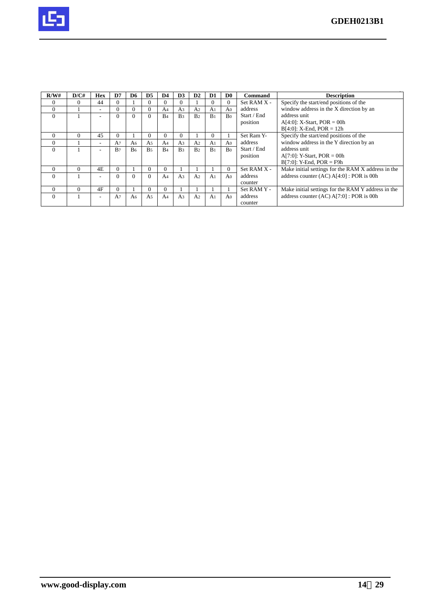

| R/W#     | D/CH | <b>Hex</b>               | D7             | D <sub>6</sub> | D <sub>5</sub> | D4             | D <sub>3</sub> | $\mathbf{D2}$  | D <sub>1</sub> | D <sub>0</sub> | <b>Command</b>  | <b>Description</b>                                 |
|----------|------|--------------------------|----------------|----------------|----------------|----------------|----------------|----------------|----------------|----------------|-----------------|----------------------------------------------------|
|          |      | 44                       | $\Omega$       |                | $\Omega$       |                |                |                | 0              |                | Set RAM X -     | Specify the start/end positions of the             |
| $\Omega$ |      | ۰                        | $\Omega$       |                | $\theta$       | A4             | A3             | A <sub>2</sub> | A <sub>1</sub> | A <sub>0</sub> | address         | window address in the X direction by an            |
| $\Omega$ |      | ۰                        | $\Omega$       | $\Omega$       | $\Omega$       | B <sub>4</sub> | B <sub>3</sub> | B <sub>2</sub> | B <sub>1</sub> | Bo             | Start / End     | address unit                                       |
|          |      |                          |                |                |                |                |                |                |                |                | position        | $A[4:0]$ : X-Start, POR = 00h                      |
|          |      |                          |                |                |                |                |                |                |                |                |                 | $B[4:0]$ : X-End, POR = 12h                        |
|          | 0    | 45                       | $\Omega$       |                | $\Omega$       |                | 0              |                | 0              |                | Set Ram Y-      | Specify the start/end positions of the             |
| $\Omega$ |      | ٠                        | A7             | A <sub>6</sub> | A <sub>5</sub> | A <sub>4</sub> | A3             | A <sub>2</sub> | A <sub>1</sub> | A <sub>0</sub> | address         | window address in the Y direction by an            |
| $\Omega$ |      | ٠                        | B <sub>7</sub> | B <sub>6</sub> | B <sub>5</sub> | B <sub>4</sub> | B <sub>3</sub> | B <sub>2</sub> | B <sub>1</sub> | Bo             | Start / End     | address unit                                       |
|          |      |                          |                |                |                |                |                |                |                |                | position        | $A[7:0]$ : Y-Start, POR = 00h                      |
|          |      |                          |                |                |                |                |                |                |                |                |                 | $B[7:0]$ : Y-End, POR = F9h                        |
| $\Omega$ |      | 4E                       | $\Omega$       |                | $\Omega$       |                |                |                |                | $\Omega$       | $Set$ RAM $X -$ | Make initial settings for the RAM X address in the |
| $\Omega$ |      | -                        | $\Omega$       |                | $\Omega$       | A <sub>4</sub> | A <sub>3</sub> | A <sub>2</sub> | A <sub>1</sub> | A <sub>0</sub> | address         | address counter $(AC) A[4:0]$ : POR is 00h         |
|          |      |                          |                |                |                |                |                |                |                |                | counter         |                                                    |
| $\Omega$ | 0    | 4F                       | $\Omega$       |                | $\Omega$       | $\theta$       |                |                |                |                | Set RAM Y -     | Make initial settings for the RAM Y address in the |
| $\Omega$ |      | $\overline{\phantom{a}}$ | A7             | A6             | A5             | A <sub>4</sub> | A <sub>3</sub> | A <sub>2</sub> | A <sub>1</sub> | A <sub>0</sub> | address         | address counter (AC) A[7:0] : POR is 00h           |
|          |      |                          |                |                |                |                |                |                |                |                | counter         |                                                    |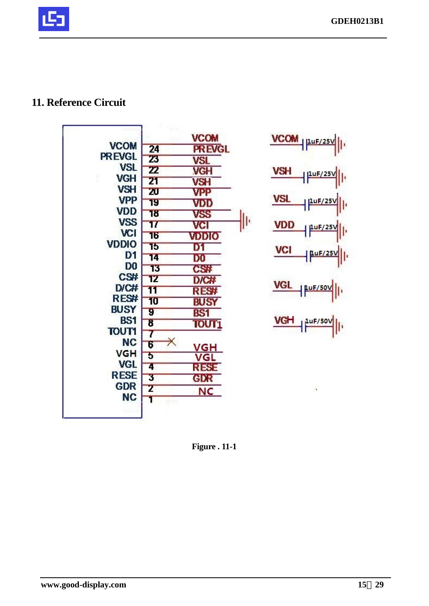## **11. Reference Circuit**



 $\frac{VCOM}{\left|\frac{\text{PL}(25V)}{\text{PL}(25V)}\right|}$ **VSH**  $\frac{10F/25V}{F}$ **VSL** 1 1uF/25V VDD LuF/25 **VCI**  $1uF/25V$ VGL LuF/50V <u>VGH</u>  $LuF/50V$  $\Vert$ 

**Figure . 11-1**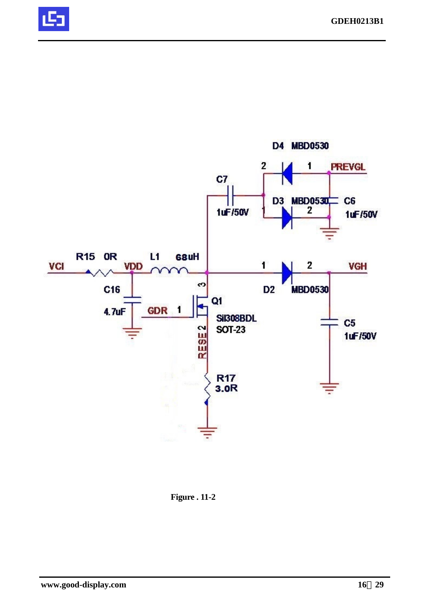



**Figure . 11-2**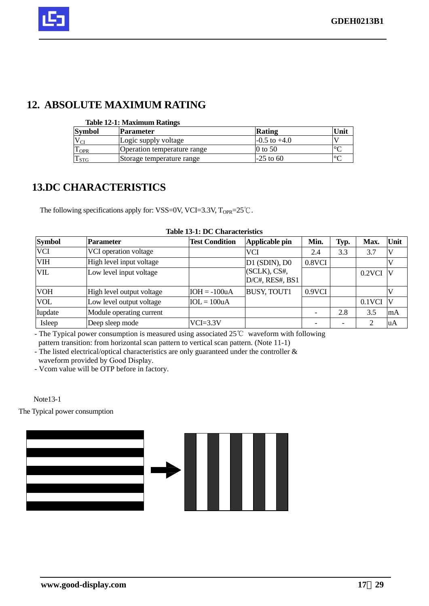## **12. ABSOLUTE MAXIMUM RATING**

|  | <b>Table 12-1: Maximum Ratings</b> |  |
|--|------------------------------------|--|
|  |                                    |  |

| <b>Symbol</b>                    | Parameter                   | Rating           | Unit    |
|----------------------------------|-----------------------------|------------------|---------|
| $V_{CI}$                         | Logic supply voltage        | $-0.5$ to $+4.0$ |         |
| $\mathbf{r}$<br>$1$ OPR          | Operation temperature range | 0 to 50          | $\circ$ |
| $\mathbf{r}$<br>1 <sub>STG</sub> | Storage temperature range   | $-25$ to 60      | $\circ$ |

## **13.DC CHARACTERISTICS**

The following specifications apply for: VSS=0V, VCI=3.3V,  $T_{OPR}$ =25°C.

| <b>Symbol</b> | <b>Parameter</b>          | <b>Test Condition</b> | Applicable pin                         | Min.   | Typ. | Max.      | Unit         |
|---------------|---------------------------|-----------------------|----------------------------------------|--------|------|-----------|--------------|
| <b>VCI</b>    | VCI operation voltage     |                       | <b>VCI</b>                             | 2.4    | 3.3  | 3.7       |              |
| <b>VIH</b>    | High level input voltage  |                       | $D1$ (SDIN), $D0$                      | 0.8VCI |      |           |              |
| <b>VIL</b>    | Low level input voltage   |                       | $ $ (SCLK), CS#,<br>$D/C#$ , RES#, BS1 |        |      | $0.2$ VCI | $\mathbf{V}$ |
| <b>VOH</b>    | High level output voltage | $IOH = -100uA$        | <b>BUSY, TOUT1</b>                     | 0.9VCI |      |           |              |
| <b>VOL</b>    | Low level output voltage  | $IOL = 100uA$         |                                        |        |      | $0.1$ VCI | V            |
| Iupdate       | Module operating current  |                       |                                        |        | 2.8  | 3.5       | mA           |
| Isleep        | Deep sleep mode           | $VCI=3.3V$            |                                        |        |      | ∍         | uA           |

#### **Table 13-1: DC Characteristics**

- The Typical power consumption is measured using associated 25℃ waveform with following

pattern transition: from horizontal scan pattern to vertical scan pattern. (Note 11-1)

- The listed electrical/optical characteristics are only guaranteed under the controller & waveform provided by Good Display.

- Vcom value will be OTP before in factory.

Note13-1

The Typical power consumption

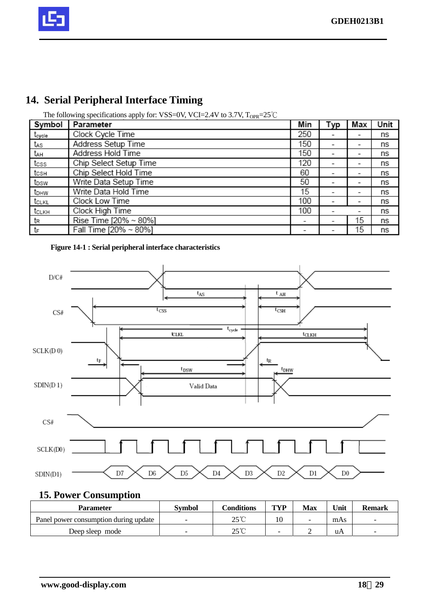

## **14. Serial Peripheral Interface Timing**

| Symbol           | Parameter              | Min                      | Typ | Max                      | Unit |
|------------------|------------------------|--------------------------|-----|--------------------------|------|
| tcycle           | Clock Cycle Time       | 250                      |     |                          | ns   |
| tas              | Address Setup Time     | 150                      |     | $\overline{\phantom{0}}$ | ns   |
| tдн              | Address Hold Time      | 150                      |     |                          | ns   |
| tcss             | Chip Select Setup Time | 120                      | -   | $\overline{\phantom{0}}$ | ns   |
| tcsн             | Chip Select Hold Time  | 60                       | -   | -                        | ns   |
| t <sub>DSW</sub> | Write Data Setup Time  | 50                       | -   | -                        | ns   |
| t <sub>DHW</sub> | Write Data Hold Time   | 15                       | -   | -                        | ns   |
| tclkL            | Clock Low Time         | 100                      | -   | -                        | ns   |
| tськн            | Clock High Time        | 100                      |     | -                        | ns   |
| tr               | Rise Time [20% ~ 80%]  | $\overline{\phantom{0}}$ | -   | 15                       | ns   |
| tF               | Fall Time [20% ~ 80%]  | ۰                        |     | 15                       | ns   |

The following specifications apply for: VSS=0V, VCI=2.4V to 3.7V,  $T_{OPR}$ =25°C





## **15. Power Consumption**

| <b>Parameter</b>                      | <b>Symbol</b>            | Conditions     | TVP | Max | Unit | <b>Remark</b>            |
|---------------------------------------|--------------------------|----------------|-----|-----|------|--------------------------|
| Panel power consumption during update | $\overline{\phantom{0}}$ | $25^{\circ}$ C | 10  | -   | mAs  |                          |
| Deep sleep mode                       | $\overline{\phantom{0}}$ | 25°C           | -   | ∽   | uA   | $\overline{\phantom{0}}$ |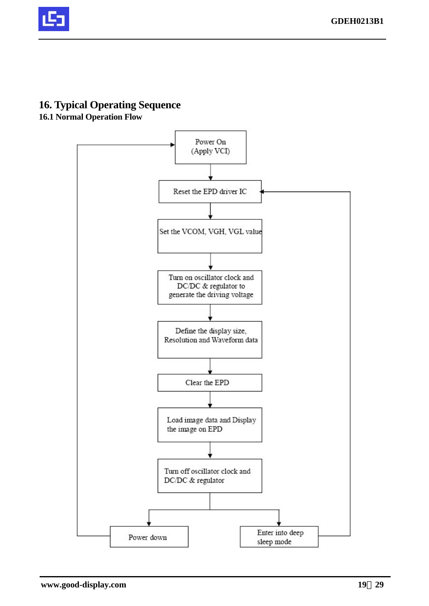

## **16. Typical Operating Sequence**

## **16.1 Normal Operation Flow**

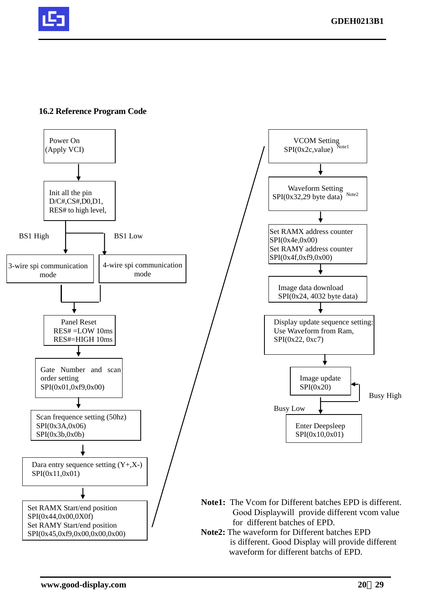

#### **16.2 Reference Program Code**

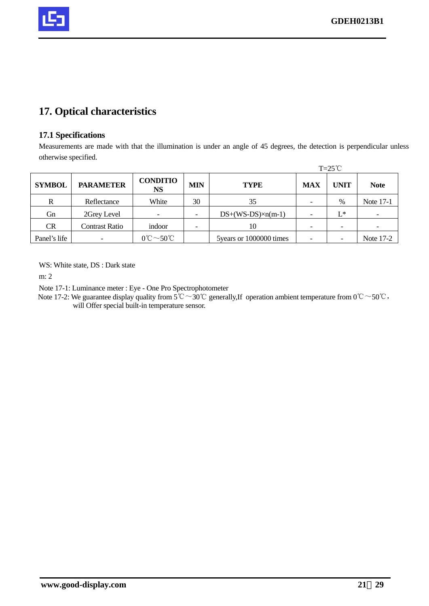

## **17. Optical characteristics**

#### **17.1 Specifications**

Measurements are made with that the illumination is under an angle of 45 degrees, the detection is perpendicular unless otherwise specified.

|               |                  |                                               |                          |                           |            | $T=25^{\circ}C$ |                          |
|---------------|------------------|-----------------------------------------------|--------------------------|---------------------------|------------|-----------------|--------------------------|
| <b>SYMBOL</b> | <b>PARAMETER</b> | <b>CONDITIO</b><br><b>NS</b>                  | <b>MIN</b>               | <b>TYPE</b>               | <b>MAX</b> | <b>UNIT</b>     | <b>Note</b>              |
| R             | Reflectance      | White                                         | 30                       | 35                        |            | $\%$            | Note 17-1                |
| Gn            | 2Grey Level      |                                               | $\overline{\phantom{0}}$ | $DS+(WS-DS)\times n(m-1)$ |            | L*              | $\overline{\phantom{a}}$ |
| <b>CR</b>     | Contrast Ratio   | indoor                                        |                          | 10                        |            |                 |                          |
| Panel's life  |                  | $0^{\circ}\mathrm{C}\sim50^{\circ}\mathrm{C}$ |                          | 5years or 1000000 times   |            |                 | Note 17-2                |

WS: White state, DS : Dark state

m: 2

Note 17-1: Luminance meter : Eye - One Pro Spectrophotometer

Note 17-2: We guarantee display quality from  $5^{\circ}\text{C} \sim 30^{\circ}\text{C}$  generally, If operation ambient temperature from  $0^{\circ}\text{C} \sim 50^{\circ}\text{C}$ , will Offer special built-in temperature sensor.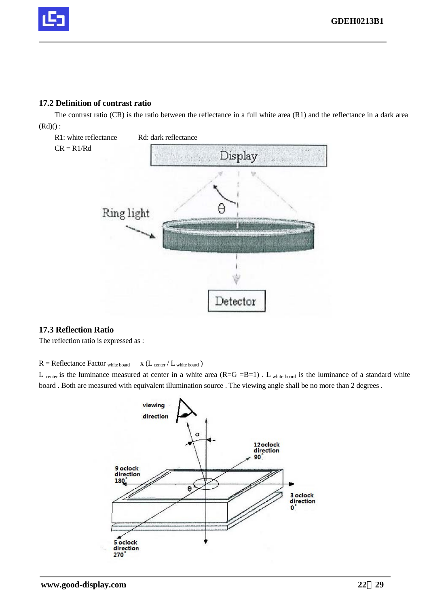

#### **17.2 Definition of contrast ratio**

The contrast ratio (CR) is the ratio between the reflectance in a full white area (R1) and the reflectance in a dark area  $(Rd)():$ 



#### **17.3 Reflection Ratio**

The reflection ratio is expressed as :

 $R = \text{Reflectance Factor}$  white board  $X (L_{\text{center}} / L_{\text{white board}})$ 

L center is the luminance measured at center in a white area  $(R=G=B=1)$ . L white board is the luminance of a standard white board . Both are measured with equivalent illumination source . The viewing angle shall be no more than 2 degrees .

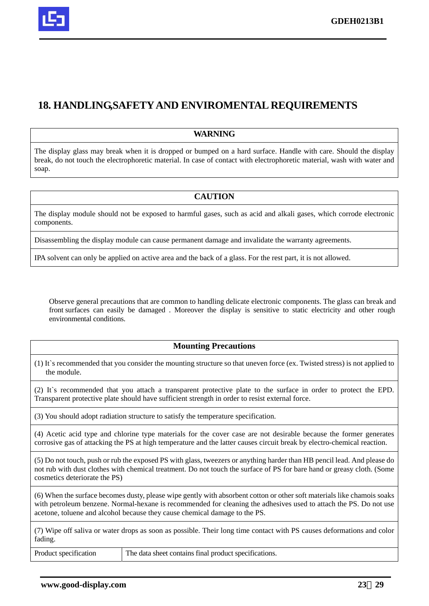

## **18. HANDLING,SAFETY AND ENVIROMENTAL REQUIREMENTS**

#### **WARNING**

The display glass may break when it is dropped or bumped on a hard surface. Handle with care. Should the display break, do not touch the electrophoretic material. In case of contact with electrophoretic material, wash with water and soap.

#### **CAUTION**

The display module should not be exposed to harmful gases, such as acid and alkali gases, which corrode electronic components.

Disassembling the display module can cause permanent damage and invalidate the warranty agreements.

IPA solvent can only be applied on active area and the back of a glass. For the rest part, it is not allowed.

Observe general precautions that are common to handling delicate electronic components. The glass can break and front surfaces can easily be damaged . Moreover the display is sensitive to static electricity and other rough environmental conditions.

#### **Mounting Precautions**

(1) It`s recommended that you consider the mounting structure so that uneven force (ex. Twisted stress) is not applied to the module.

(2) It`s recommended that you attach a transparent protective plate to the surface in order to protect the EPD. Transparent protective plate should have sufficient strength in order to resist external force.

(3) You should adopt radiation structure to satisfy the temperature specification.

(4) Acetic acid type and chlorine type materials for the cover case are not desirable because the former generates corrosive gas of attacking the PS at high temperature and the latter causes circuit break by electro-chemical reaction.

(5) Do not touch, push or rub the exposed PS with glass, tweezers or anything harder than HB pencil lead. And please do not rub with dust clothes with chemical treatment. Do not touch the surface of PS for bare hand or greasy cloth. (Some cosmetics deteriorate the PS)

(6) When the surface becomes dusty, please wipe gently with absorbent cotton or other soft materials like chamois soaks with petroleum benzene. Normal-hexane is recommended for cleaning the adhesives used to attach the PS. Do not use acetone, toluene and alcohol because they cause chemical damage to the PS.

(7) Wipe off saliva or water drops as soon as possible. Their long time contact with PS causes deformations and color fading.

Product specification The data sheet contains final product specifications.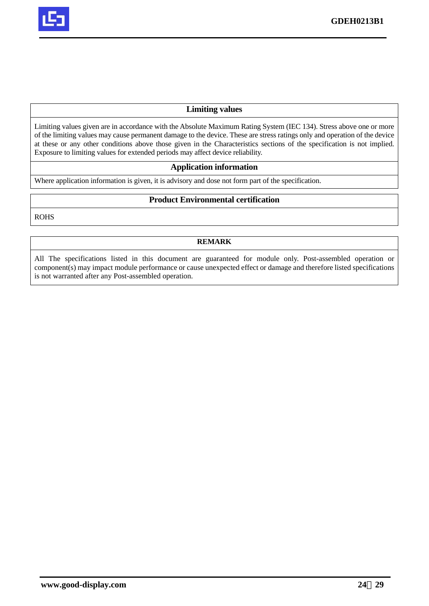

#### **Limiting values**

Limiting values given are in accordance with the Absolute Maximum Rating System (IEC 134). Stress above one or more of the limiting values may cause permanent damage to the device. These are stress ratings only and operation of the device at these or any other conditions above those given in the Characteristics sections of the specification is not implied. Exposure to limiting values for extended periods may affect device reliability.

#### **Application information**

Where application information is given, it is advisory and dose not form part of the specification.

#### **Product Environmental certification**

ROHS

#### **REMARK**

All The specifications listed in this document are guaranteed for module only. Post-assembled operation or component(s) may impact module performance or cause unexpected effect or damage and therefore listed specifications is not warranted after any Post-assembled operation.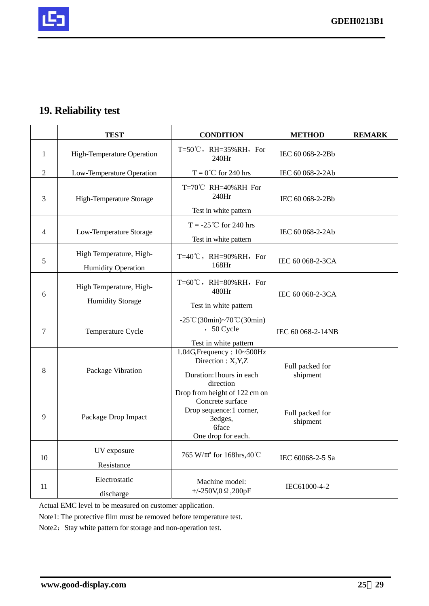

## **19. Reliability test**

|    | <b>TEST</b>                                          | <b>CONDITION</b>                                                                                                              | <b>METHOD</b>               | <b>REMARK</b> |
|----|------------------------------------------------------|-------------------------------------------------------------------------------------------------------------------------------|-----------------------------|---------------|
| 1  | <b>High-Temperature Operation</b>                    | T=50 $\degree$ C, RH=35%RH, For<br>240Hr                                                                                      | IEC 60 068-2-2Bb            |               |
| 2  | Low-Temperature Operation                            | $T = 0$ °C for 240 hrs                                                                                                        | IEC 60 068-2-2Ab            |               |
| 3  | High-Temperature Storage                             | T=70℃ RH=40%RH For<br>240Hr<br>Test in white pattern                                                                          | IEC 60 068-2-2Bb            |               |
| 4  | Low-Temperature Storage                              | $T = -25$ °C for 240 hrs<br>Test in white pattern                                                                             | IEC 60 068-2-2Ab            |               |
| 5  | High Temperature, High-<br><b>Humidity Operation</b> | T=40℃, RH=90%RH, For<br>168Hr                                                                                                 | IEC 60 068-2-3CA            |               |
| 6  | High Temperature, High-<br><b>Humidity Storage</b>   | $T=60^{\circ}C$ , RH=80%RH, For<br>480Hr<br>Test in white pattern                                                             | IEC 60 068-2-3CA            |               |
| 7  | Temperature Cycle                                    | $-25^{\circ}C(30\text{min}) \sim 70^{\circ}C(30\text{min})$<br>, 50 Cycle<br>Test in white pattern                            | IEC 60 068-2-14NB           |               |
| 8  | Package Vibration                                    | 1.04G, Frequency: 10~500Hz<br>Direction: X, Y, Z<br>Duration: 1 hours in each<br>direction                                    | Full packed for<br>shipment |               |
| 9  | Package Drop Impact                                  | Drop from height of 122 cm on<br>Concrete surface<br>Drop sequence:1 corner,<br>3edges,<br><b>6face</b><br>One drop for each. | Full packed for<br>shipment |               |
| 10 | UV exposure<br>Resistance                            | 765 W/m <sup>2</sup> for 168hrs,40℃                                                                                           | IEC 60068-2-5 Sa            |               |
| 11 | Electrostatic<br>discharge                           | Machine model:<br>+/-250V,0 $\Omega$ ,200pF                                                                                   | IEC61000-4-2                |               |

Actual EMC level to be measured on customer application.

Note1: The protective film must be removed before temperature test.

Note2: Stay white pattern for storage and non-operation test.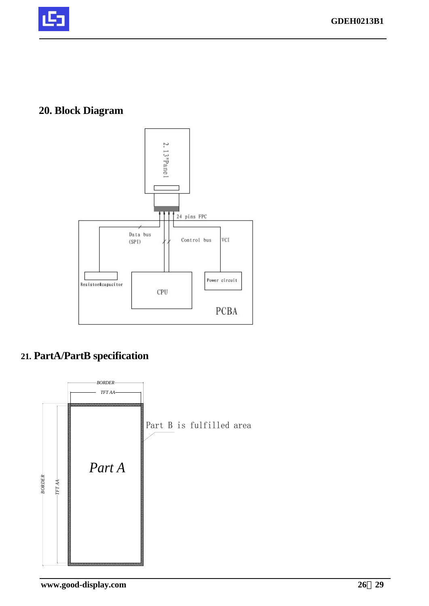

## **20. Block Diagram**



## **21. PartA/PartB specification**

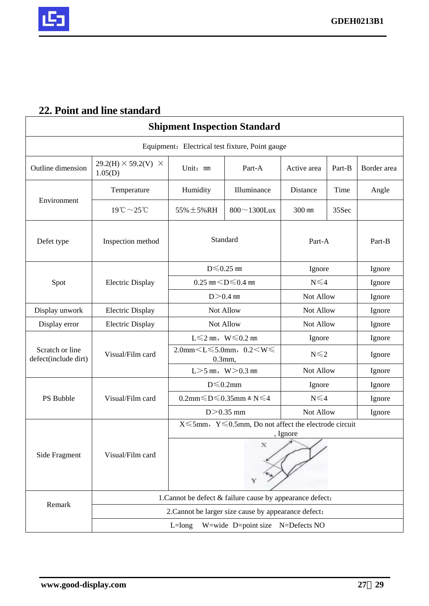

## **22. Point and line standard**

|                                         |                                              |                                | <b>Shipment Inspection Standard</b>                               |                   |        |             |
|-----------------------------------------|----------------------------------------------|--------------------------------|-------------------------------------------------------------------|-------------------|--------|-------------|
|                                         |                                              |                                | Equipment: Electrical test fixture, Point gauge                   |                   |        |             |
| Outline dimension                       | $29.2(H) \times 59.2(V) \times$<br>1.05(D)   | Unit: mm                       | Part-A                                                            | Active area       | Part-B | Border area |
|                                         | Temperature                                  | Humidity                       | Illuminance                                                       | Distance          | Time   | Angle       |
| Environment                             | $19^{\circ}\text{C} \sim 25^{\circ}\text{C}$ | 55% ± 5% RH                    | $800 \sim 1300$ Lux                                               | 300 mm            | 35Sec  |             |
| Defet type                              | Inspection method                            |                                | Standard                                                          | Part-A            |        | Part-B      |
|                                         |                                              |                                | $D \leq 0.25$ mm                                                  | Ignore            |        | Ignore      |
| Spot                                    | <b>Electric Display</b>                      |                                | 0.25 mm $<$ D $\leq$ 0.4 mm                                       | $N \leq 4$        |        | Ignore      |
|                                         |                                              |                                | $D > 0.4$ mm                                                      | Not Allow         |        | Ignore      |
| Display unwork                          | <b>Electric Display</b>                      |                                | Not Allow                                                         | Not Allow         |        | Ignore      |
| Display error                           | <b>Electric Display</b>                      |                                | Not Allow                                                         | Not Allow         |        | Ignore      |
|                                         |                                              | $L \leq 2$ mm, $W \leq 0.2$ mm |                                                                   | Ignore            |        | Ignore      |
| Scratch or line<br>defect(include dirt) | Visual/Film card                             |                                | $2.0$ mm $\leq L \leq 5.0$ mm, $0.2 \leq W \leq$<br>$0.3$ mm,     | $N \leq 2$        |        | Ignore      |
|                                         |                                              |                                | $L > 5$ mm, $W > 0.3$ mm                                          | Not Allow         |        | Ignore      |
|                                         |                                              |                                | $D \le 0.2$ mm                                                    | Ignore            |        | Ignore      |
| PS Bubble                               | Visual/Film card                             |                                | 0.2mm $\leq$ D $\leq$ 0.35mm & N $\leq$ 4                         | $N \leq 4$        |        | Ignore      |
|                                         |                                              |                                | $D > 0.35$ mm                                                     | Not Allow         |        | Ignore      |
|                                         |                                              |                                | $X \le 5$ mm, Y $\le 0.5$ mm, Do not affect the electrode circuit | , Ignore          |        |             |
| Side Fragment                           | Visual/Film card                             |                                | $_{\rm X}$<br>Y                                                   | $\sim$ $\sqrt{ }$ |        |             |
| Remark                                  |                                              |                                | 1. Cannot be defect & failure cause by appearance defect;         |                   |        |             |
|                                         |                                              |                                | 2. Cannot be larger size cause by appearance defect;              |                   |        |             |
|                                         |                                              | $L = long$                     | W=wide D=point size N=Defects NO                                  |                   |        |             |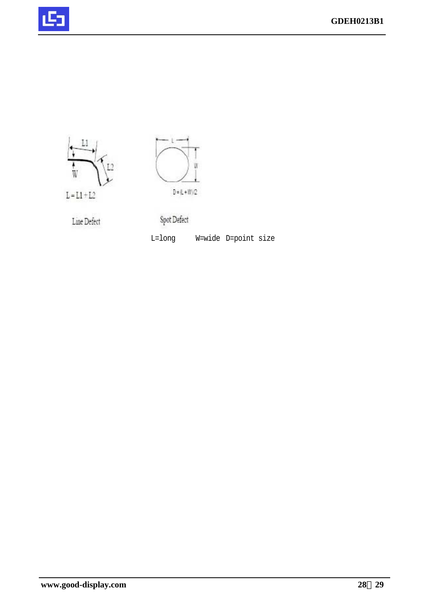





Line Defect

Spot Defect

L=long W=wide D=point size